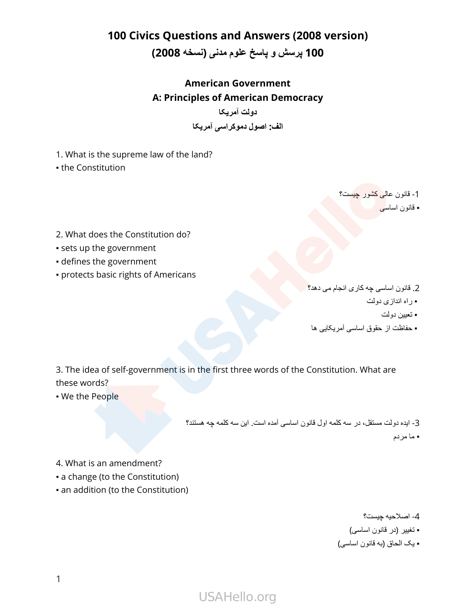#### **100 Civics Questions and Answers (2008 version)**

#### **100 پرسش و پاسخ علوم مدنی )نسخه 2008(**

#### **American Government A: Principles of American Democracy**

**دولت آمریکا الف: اصول دموکراسی آمریکا**

1. What is the supreme law of the land?

• the Constitution

1- قانون عالی کشور چیست؟ ■ قانون اساس*ی* 

- 2. What does the Constitution do?
- sets up the government
- defines the government
- protects basic rights of Americans

2. قانون اساسی چه کاری انجام می دهد؟ ▪ راه اندازی دولت ▪ تعیین دولت ▪ حفاظت از حقوق اساسی آمریکایی ها

3. The idea of self-government is in the first three words of the Constitution. What are these words?

• We the People

3- ایده دولت مستقل، در سه کلمه اول قانون اساسی آمده است. این سه کلمه چه هستند؟ ▪ ما مردم

- 4. What is an amendment?
- a change (to the Constitution)
- an addition (to the Constitution)

4- اصالحیه چیست؟

- تغییر )در قانون اساسی(
- یک الحاق )به قانون اساسی(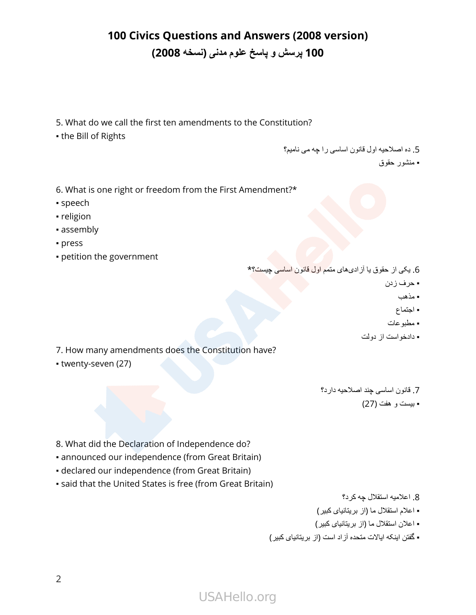- 5. What do we call the first ten amendments to the Constitution?
- the Bill of Rights

5. ده اصالحیه اول قانون اساسی را چه می نامیم؟

▪ منشور حقوق

- 6. What is one right or freedom from the First Amendment?\*
- speech
- religion
- assembly
- press
- petition the government

6. یکی از حقوق یا آزادیهای متمم اول قانون اساسی چیست؟\*

- حرف زدن
	- مذهب
	- اجتماع
- مطبوعات
- دادخواست از دولت

- 7. How many amendments does the Constitution have?
- twenty-seven (27)

7. قانون اساسی چند اصالحیه دارد؟ ▪ بیست و هفت )27(

- 8. What did the Declaration of Independence do?
- announced our independence (from Great Britain)
- declared our independence (from Great Britain)
- said that the United States is free (from Great Britain)

8. اعالمیه استقالل چه کرد؟

- اعالم استقالل ما )از بریتانیای کبیر(
- اعالن استقالل ما )از بريتانيای کبیر(
- گفتن اینکه ایاالت متحده آزاد است )از بریتانیای کبیر(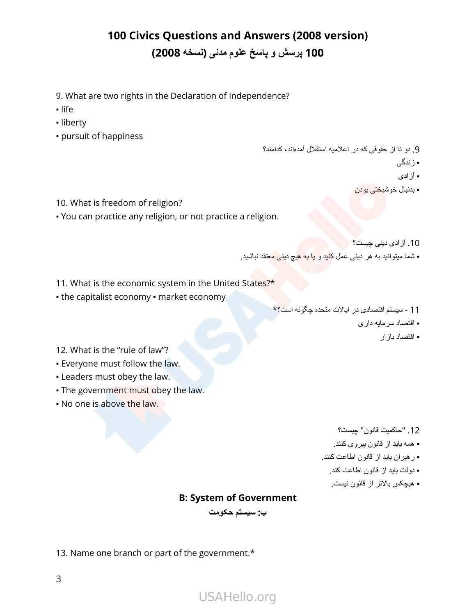- 9. What are two rights in the Declaration of Independence?
- life
- liberty
- pursuit of happiness

- 9. دو تا از حقوقی که در اعالمیه استقالل آمدهاند، کدامند؟
	- زندگی
	- آزادی
	- بدنبال خوشبختی بودن

- 10. What is freedom of religion?
- You can practice any religion, or not practice a religion.
- 10. آزادی دینی چیست؟
- شما میتوانید به هر دینی عمل کنید و یا به هیچ دینی معتقد نباشید.
- 11. What is the economic system in the United States?\*
- the capitalist economy market economy
- 11- سیستم اقتصادی در ایاالت متحده چگونه است؟\*
	- اقتصاد سرمایه داری
		- اقتصاد بازار

- 12. What is the "rule of law"?
- Everyone must follow the law.
- Leaders must obey the law.
- . The government must obey the law.
- No one is above the law.

- 12. "حاکمیت قانون" چیست؟
- همه باید از قانون پیروی کنند.
- رهبران باید از قانون اطاعت کنند.
	- دولت باید از قانون اطاعت کند.
	- هیچکس باالتر از قانون نیست.

#### **B: System of Government**

**ب: سیستم حکومت**

13. Name one branch or part of the government.\*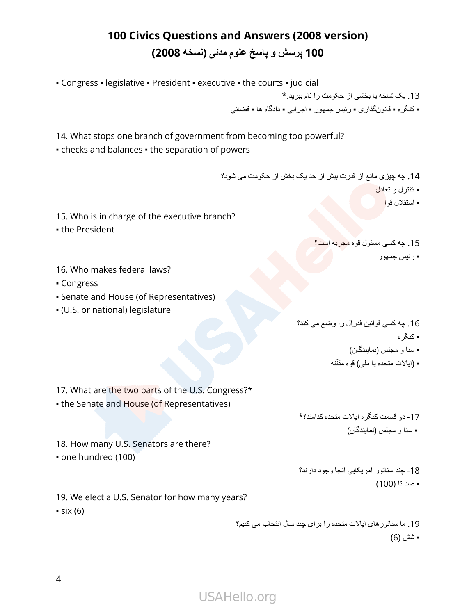▪ Congress ▪ legislative ▪ President ▪ executive ▪ the courts ▪ judicial

13. یک شاخه یا بخشی از حکومت را نام ببرید.\* ▪ کنگره ▪ قانونگذاری ▪ رئیس جمهور ▪ اجرایی ▪ دادگاه ها ▪ قضائي

14. What stops one branch of government from becoming too powerful?

• checks and balances • the separation of powers

14. چه چیزی مانع از قدرت بیش از حد یک بخش از حکومت می شود؟ ▪ کنترل و تعادل

▪ استقالل قوا

▪ رئیس جمهور

- 15. Who is in charge of the executive branch?
- the President
- 16. Who makes federal laws?
- Congress
- Senate and House (of Representatives)
- (U.S. or national) legislature

16. چه کسی قوانین فدرال را وضع می کند؟ ▪ کنگر ه

15. چه کسی مسئول قوه مجریه است؟

- 
- سنا و مجلس )نمایندگان(
- (ایالات متحده یا ملي) قوه مقنّنه

17. What are the two parts of the U.S. Congress?\*

• the Senate and House (of Representatives)

17- دو قسمت کنگره ایاالت متحده کدامند؟\* ▪ سنا و مجلس )نمایندگان(

18. How many U.S. Senators are there? ▪ one hundred (100)

> 18- چند سناتور آمریکایی آنجا وجود دارند؟ ▪ صد تا )100(

19. We elect a U.S. Senator for how many years?  $\cdot$  six (6)

> 19. ما سناتورهای ایاالت متحده را برای چند سال انتخاب می کنیم؟ **=** شش (6)

USAHello.org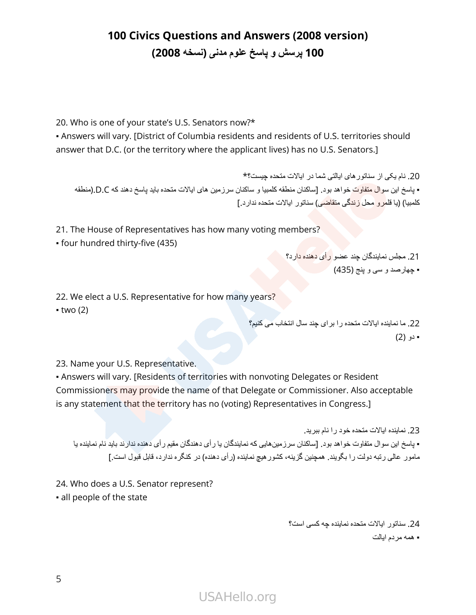20. Who is one of your state's U.S. Senators now?\*

• Answers will vary. [District of Columbia residents and residents of U.S. territories should answer that D.C. (or the territory where the applicant lives) has no U.S. Senators.]

```
20. نام یکی از سناتورهای ایالتی شما در ایاالت متحده چیست؟*
▪ پاسخ این سوال متفاوت خواهد بود. ]ساکنان منطقه کلمبیا و ساکنان سرزمین های ایاالت متحده باید پاسخ دهند که C.D.(منطقه
                                                          کلمبیا) (یا قلم<mark>ر و محل زندگی متقاضی)</mark> سناتور ایالات متحده ندار د.]
```
21. The House of Representatives has how many voting members?

▪ four hundred thirty-five (435)

21. مجلس نمایندگان چند عضو رأی دهنده دارد؟

▪ چهارصد و سی و پنج )435(

22. We elect a U.S. Representative for how many years?

 $\bullet$  two (2)

22. ما نماینده ایاالت متحده را برای چند سال انتخاب می کنیم؟ ▪ دو )2(

23. Name your U.S. Representative.

▪ Answers will vary. [Residents of territories with nonvoting Delegates or Resident Commissioners may provide the name of that Delegate or Commissioner. Also acceptable is any statement that the territory has no (voting) Representatives in Congress.]

23. نماینده ایاالت متحده خود را نام ببرید. ▪ پاسخ این سوال متفاوت خواهد بود. ]ساکنان سرزمینهایی که نمایندگان یا رأی دهندگان مقیم رأی دهنده ندارند باید نام نماینده یا مامور عالی رتبه دولت را بگویند. همچنین گزینه، کشور هیچ نماینده (رأی دهنده) در کنگره ندارد، قابل قبول است.]

24. Who does a U.S. Senator represent?

24. سناتور ایاالت متحده نماینده چه کسی است؟ ▪ همه مردم ایالت

▪ all people of the state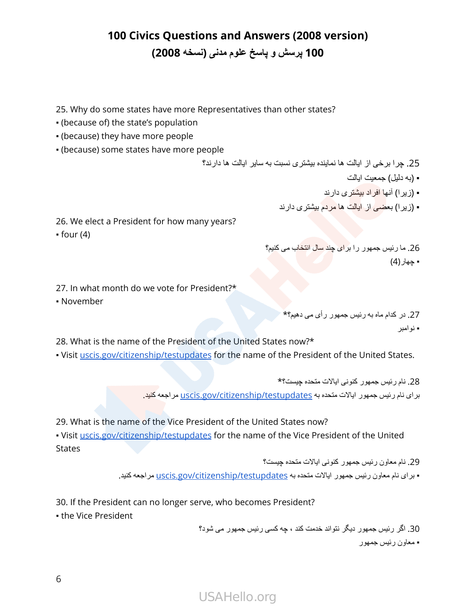25. Why do some states have more Representatives than other states?

- (because of) the state's population
- (because) they have more people
- (because) some states have more people

25. چرا برخی از ایالت ها نماینده بیشتری نسبت به سایر ایالت ها دارند؟

- )به دلیل( جمعیت ایالت
- (زیر ا) آنها افراد بیشتری دارند
- **(زیرا) بعضی از ایالت ها مردم بیشتری دارند**
- 26. We elect a President for how many years?

 $•$  four  $(4)$ 

26. ما رئیس جمهور را برای چند سال انتخاب می کنیم؟  $(4)$  جهار $\blacksquare$ 

- 27. In what month do we vote for President?\*
- November

27. در کدام ماه به رئیس جمهور رأی می دهیم؟\* ■ نو امبر

28. What is the name of the President of the United States now?\*

. Visit [uscis.gov/citizenship/testupdates](http://uscis.gov/citizenship/testupdates) for the name of the President of the United States.

28. نام رئیس جمهور کنونی ایاالت متحده چیست؟\* برای نام رئیس جمهور ایالات متحده به uscis.gov/citizenship/testupdates مراجعه کنید.

29. What is the name of the Vice President of the United States now?

. Visit [uscis.gov/citizenship/testupdates](http://uscis.gov/citizenship/testupdates) for the name of the Vice President of the United **States** 

> 29. نام معاون رئیس جمهور کنونی ایاالت متحده چیست؟ ▪ برای نام معاون رئیس جمهور ایاالت متحده به [testupdates/citizenship/gov.uscis](http://uscis.gov/citizenship/testupdates) مراجعه کنید.

30. If the President can no longer serve, who becomes President?

▪ the Vice President

30. اگر رئیس جمهور دیگر نتواند خدمت کند ، چه کسی رئیس جمهور می شود؟ ▪ معاون رئیس جمهور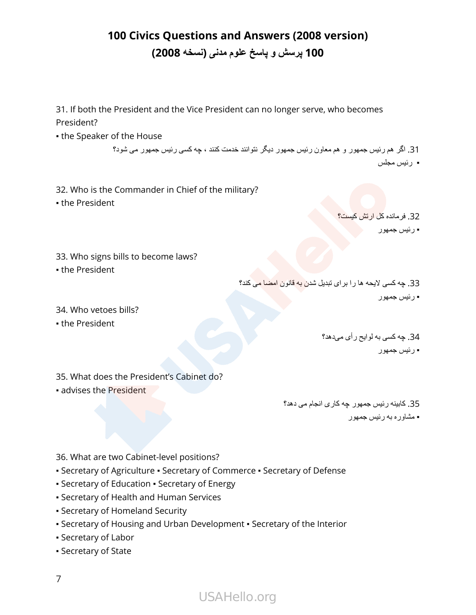31. If both the President and the Vice President can no longer serve, who becomes President?

**.** the Speaker of the House

31. اگر هم رئیس جمهور و هم معاون رئیس جمهور دیگر نتوانند خدمت کنند ، چه کسی رئیس جمهور می شود؟ ▪ رئیس مجلس

32. Who is the Commander in Chief of the military?

• the President

32. فرمانده کل ارتش کیست؟ ▪ رئیس جمهور

33. Who signs bills to become laws?

• the President

33. چه کسی لایحه ها را برای تبدیل شدن به قانون امضا می کند؟ ▪ رئیس جمهور

34. Who vetoes bills?

**- the President** 

34. چه کسی به لوایح رأی میدهد؟ ▪ رئیس جمهور

35. What does the President's Cabinet do?

▪ advises the President

35. کابینه رئیس جمهور چه کاری انجام می دهد؟ ▪ مشاوره به رئیس جمهور

- 36. What are two Cabinet-level positions?
- Secretary of Agriculture Secretary of Commerce Secretary of Defense
- **Secretary of Education Secretary of Energy**
- Secretary of Health and Human Services
- Secretary of Homeland Security
- Secretary of Housing and Urban Development Secretary of the Interior
- Secretary of Labor
- Secretary of State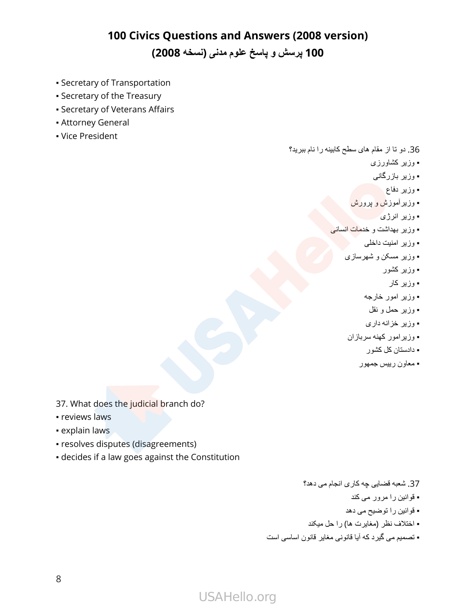- Secretary of Transportation
- Secretary of the Treasury
- Secretary of Veterans Affairs
- **Attorney General**
- Vice President

36. دو تا از مقام های سطح کابینه را نام ببرید؟

- وزیر کشاورزی
- وزیر بازرگانی
- وزير دفاع <mark>ل</mark>
- وزیرآموزش و پرورش
	- وزیر انرژی
- وزیر بهداشت و خدمات انسانی
	- وزیر امنیت داخلی
	- وزیر مسکن و شهرسازی
		- وزیر کشور
			- وزیر کار
		- وزیر امور خارجه
		- وزیر حمل و نقل
		- وزیر خزانه داری
	- وزیرامور کهنه سربازان
		- دادستان کل کشور
		- معاون رییس جمهور

- 37. What does the judicial branch do?
- **reviews laws**
- **· explain laws**
- resolves disputes (disagreements)
- decides if a law goes against the Constitution
- 37. شعبه قضایی چه کاری انجام می دهد؟
	- قوانین را مرور می کند
	- قوانین را توضیح می دهد
- اختالف نظر )مغایرت ها( را حل میکند
- تصمیم می گیرد که آیا قانونی مغایر قانون اساسی است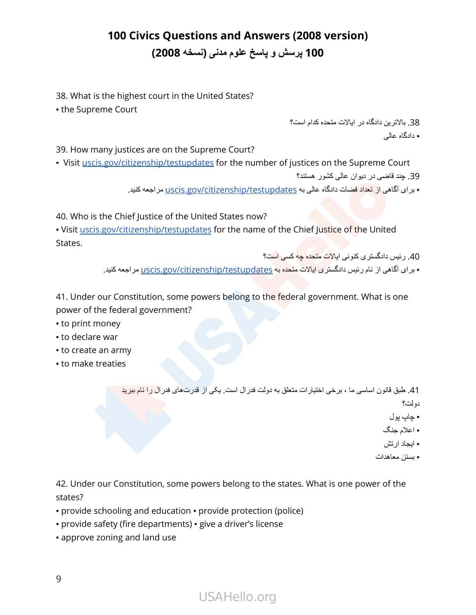38. What is the highest court in the United States?

▪ the Supreme Court

38. باالترین دادگاه در ایاالت متحده کدام است؟ ▪ دادگاه عالی

39. How many justices are on the Supreme Court?

• Visit [uscis.gov/citizenship/testupdates](http://uscis.gov/citizenship/testupdates) for the number of justices on the Supreme Court 39. چند قاضی در دیوان عالی کشور هستند؟

▪ برای آگاهی از تعداد قضات دادگاه عالی به [testupdates/citizenship/gov.uscis](http://uscis.gov/citizenship/testupdates) مراجعه کنید.

40. Who is the Chief Justice of the United States now?

. Visit [uscis.gov/citizenship/testupdates](http://uscis.gov/citizenship/testupdates) for the name of the Chief Justice of the United States.

40. رئیس دادگستری کنونی ایاالت متحده چه کسی است؟

▪ بر ای آگاهی از نام رئیس دادگستری ایالات مت<mark>حده به uscis.gov/citizenship/testupdates مراجعه کنید.</mark>

41. Under our Constitution, some powers belong to the federal government. What is one power of the federal government?

- to print money
- to declare war
- to create an army
- to make treaties

41. طبق قانون اساسی ما ، برخی اختیارات متعلق به دولت فدرال است. یکی از قدرتهای فدرال را نام ببرید دولت؟

- چاپ پول
- اعالم جنگ

▪ ایجاد ارتش

▪ بستن معاهدات

42. Under our Constitution, some powers belong to the states. What is one power of the states?

- provide schooling and education provide protection (police)
- provide safety (fire departments) give a driver's license
- approve zoning and land use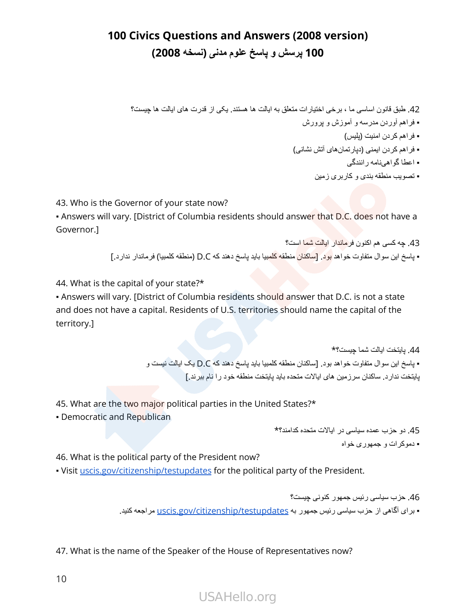42. طبق قانون اساسی ما ، برخی اختیارات متعلق به ایالت ها هستند. یکی از قدرت های ایالت ها چیست؟ ▪ فراهم آوردن مدرسه و آموزش و پرورش ▪ فراهم کردن امنیت )پلیس( ▪ فراهم کردن ایمنی )دپارتمانهای آتش نشانی( ▪ اعطا گواهینامه رانندگی

▪ تصویب منطقه بندی و کاربری زمین

43. Who is the Governor of your state now?

• Answers will vary. [District of Columbia residents should answer that D.C. does not have a Governor.]

43. چه کسی هم اکنون فرماندار ایالت شما است؟

▪ پاسخ این سوال متفاوت خواهد بود. ]ساکنان منطقه کلمبیا باید پاسخ دهند که C.D( منطقه کلمبیا( فرماندار ندارد.[

44. What is the capital of your state?\*

• Answers will vary. [District of Columbia residents should answer that D.C. is not a state and does not have a capital. Residents of U.S. territories should name the capital of the territory.]

> 44. پایتخت ایالت شما چیست؟\* ▪ پاسخ این سوال متفاوت خواهد بود. ]ساکنان منطقه کلمبیا باید پاسخ دهند که C.D یک ایالت نیست و پایتخت ندارد. ساکنان سرزمین های ایاالت متحده باید پایتخت منطقه خود را نام ببرند.[

45. What are the two major political parties in the United States?\*

• Democratic and Republican

45. دو حزب عمده سیاسی در ایاالت متحده کدامند؟\* ▪ دموکرات و جمهوری خواه

46. What is the political party of the President now?

▪ Visit [uscis.gov/citizenship/testupdates](http://uscis.gov/citizenship/testupdates) for the political party of the President.

46. حزب سیاسی رئیس جمهور کنونی چیست؟ + برای آگاهی از حزب سیاسی رئیس جمهور به uscis.gov/citizenship/testupdates مراجعه کنید.

47. What is the name of the Speaker of the House of Representatives now?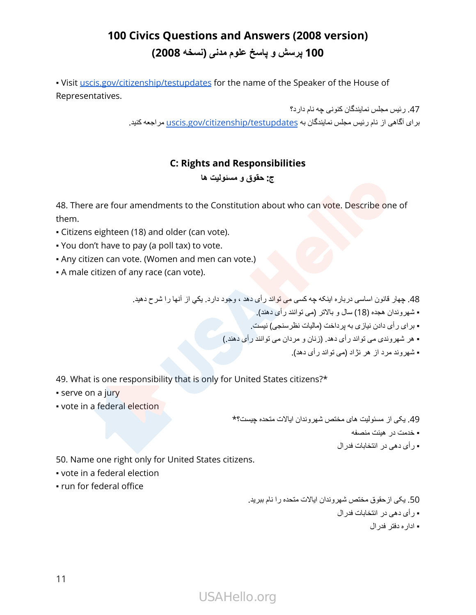• Visit [uscis.gov/citizenship/testupdates](http://uscis.gov/citizenship/testupdates) for the name of the Speaker of the House of Representatives.

> 47. رئیس مجلس نمایندگان کنونی چه نام دارد؟ برای آگاهی از نام رئیس مجلس نمایندگان به uscis.gov/citizenship/testupdates مراجعه کنید.

#### **C: Rights and Responsibilities**

#### **ج: حقوق و مسئولیت ها**

48. There are four amendments to the Constitution about who can vote. Describe one of them.

- Citizens eighteen (18) and older (can vote).
- You don't have to pay (a poll tax) to vote.
- . Any citizen can vote. (Women and men can vote.)
- A male citizen of any race (can vote).

48. چهار قانون اساسی درباره اینکه چه کسی می تواند رأی دهد ، وجود دارد. يكي از آنها را شرح دهید.

▪ شهروندان هجده )18( سال و باالتر )می توانند رأی دهند(.

- برای رأی دادن نیازی به پرداخت )مالیات نظرسنجی( نیست.
- هر شهروندی می تواند رأی دهد. )زنان و مردان می توانند رأی دهند.(
	- شهروند مرد از هر نژاد )می تواند رأی دهد(.

49. What is one responsibility that is only for United States citizens?\*

- serve on a jury
- vote in a federal election

49. یکی از مسئولیت های مختص شهروندان ایاالت متحده چیست؟\*

- خدمت در هیئت منصفه
- رأی دهی در انتخابات فدرال

50. Name one right only for United States citizens.

- vote in a federal election
- run for federal office

50. یکی ازحقوق مختص شهروندان ایاالت متحده را نام ببرید. ▪ رأی دهی در انتخابات فدرال ▪ اداره دفتر فدرال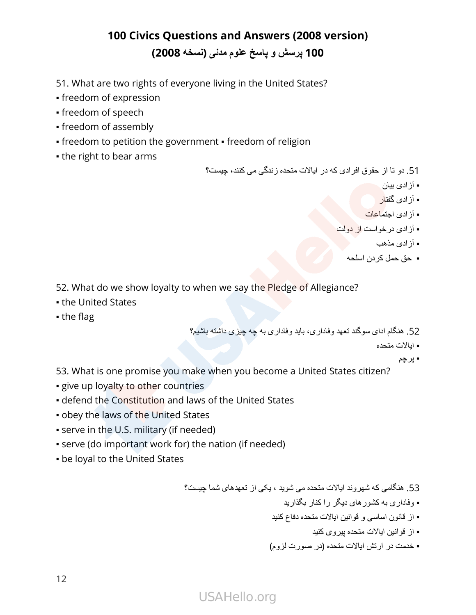51. What are two rights of everyone living in the United States?

- freedom of expression
- freedom of speech
- freedom of assembly
- freedom to petition the government freedom of religion
- the right to bear arms

51. دو تا از حقوق افرادی که در ایاالت متحده زندگی می کنند، چیست؟

- آزادی بیان
- آزادی گفتار
- آز ادی اجتماعات
- آزادی درخواست از دولت
	- آزادی مذهب
	- حق حمل کردن اسلحه

52. What do we show loyalty to when we say the Pledge of Allegiance?

- the United States
- the flag

52. هنگام ادای سوگند تعهد وفاداری، باید وفاداری به چه چیزی داشته باشیم؟

▪ ایاالت متحده

▪ پرچم

- 53. What is one promise you make when you become a United States citizen?
- **give up loyalty to other countries**
- defend the Constitution and laws of the United States
- **.** obey the laws of the United States
- **serve in the U.S. military (if needed)**
- serve (do important work for) the nation (if needed)
- be loyal to the United States

53. هنگامی که شهروند ایاالت متحده می شوید ، یکی از تعهدهای شما چیست؟

- وفاداری به کشورهای دیگر را کنار بگذارید
- از قانون اساسی و قوانین ایاالت متحده دفاع کنید
	- از قوانین ایاالت متحده پیروی کنید
- خدمت در ارتش ایاالت متحده )در صورت لزوم(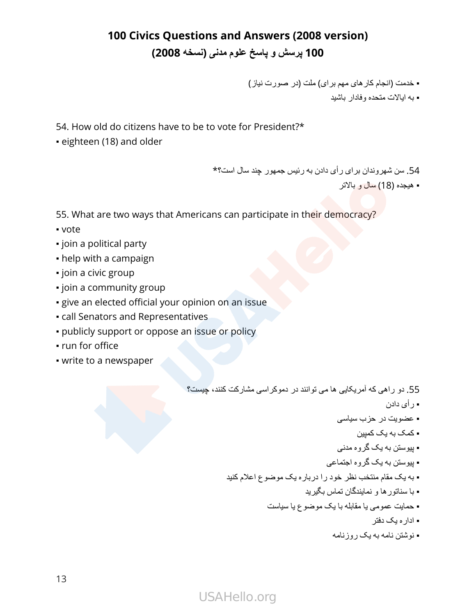▪ خدمت )انجام کارهای مهم برای( ملت )در صورت نیاز(

▪ به ایاالت متحده وفادار باشید

54. How old do citizens have to be to vote for President?\*

• eighteen (18) and older

54. سن شهروندان برای رأی دادن به رئیس جمهور چند سال است؟\*

▪ هیجده )18( سال و باالتر

55. What are two ways that Americans can participate in their democracy?

- vote
- join a political party
- help with a campaign
- join a civic group
- **·** join a community group
- **·** give an elected official your opinion on an issue
- call Senators and Representatives
- publicly support or oppose an issue or policy
- run for office
- write to a newspaper

55. دو راهی که آمریکایی ها می توانند در دموکراسی مشارکت کنند، چیست؟

- رأی دادن
- عضویت در حزب سیاسی
	- کمک به یک کمپین
- پیوستن به یک گروه مدنی
- پیوستن به یک گروه اجتماعی
- به یک مقام منتخب نظر خود را درباره یک موضوع اعالم کنید
	- با سناتورها و نمایندگان تماس بگیرید
	- حمایت عمومی یا مقابله با یک موضوع یا سیاست
		- اداره یک دفتر
		- نوشتن نامه به یک روزنامه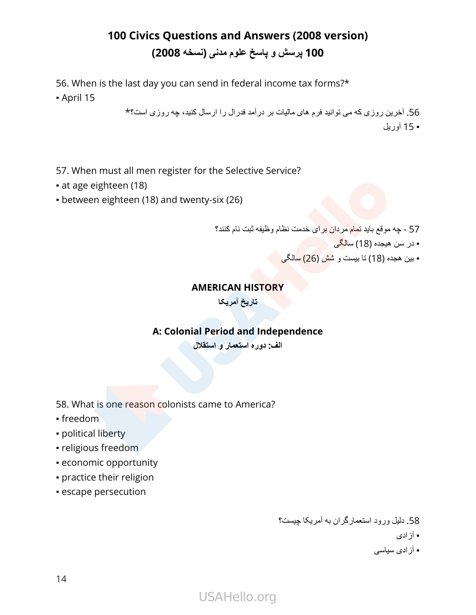56. When is the last day you can send in federal income tax forms?\*

▪ April 15

56. آخرین روزی که می توانید فرم های مالیات بر درآمد فدرال را ارسال کنید، چه روزی است؟\* ▪ 15 آوریل

57. When must all men register for the Selective Service?

- at age eighteen (18)
- between eighteen (18) and twenty-six (26)

57- چه موقع باید تمام مردان برای خدمت نظام وظیفه ثبت نام کنند؟

- در سن هیجده )18( سالگی
- بین هجده )18( تا بیست و شش )26( سالگی

#### **AMERICAN HISTORY**

**تاریخ آمریکا**

#### **A: Colonial Period and Independence**

**الف: دوره استعمار و استقالل**

- 58. What is one reason colonists came to America?
- freedom
- political liberty
- religious freedom
- economic opportunity
- practice their religion
- escape persecution

58. دلیل ورود استعمارگران به آمریکا چیست؟

▪ آزادی

▪ آزادی سیاسی

# USAHello.org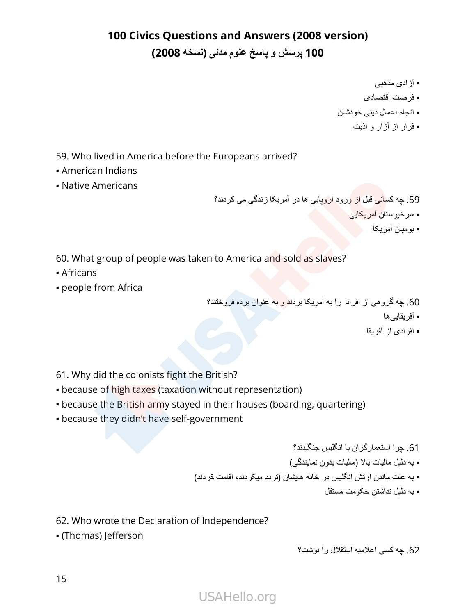- آزادی مذهبی
- فرصت اقتصادی
- انجام اعمال دینی خودشان
	- فرار از آزار و اذیت

59. Who lived in America before the Europeans arrived?

- American Indians
- Native Americans

59. چه کسانی قبل از ورود اروپایی ها در آمریکا زندگی می کردند؟

▪ سرخپوستان آمریکایی

▪ بو میان آمر یکا

60. What group of people was taken to America and sold as slaves?

- Africans
- people from Africa

60. چه گروهی از افراد را به آمریکا بردند و به عنوان برده فروختند؟

- آفریقاییها
- افرادی از آفریقا

61. Why did the colonists fight the British?

- **because of high taxes (taxation without representation)**
- because the British army stayed in their houses (boarding, quartering)
- because they didn't have self-government

61. چرا استعمارگران با انگلیس جنگیدند؟ ▪ به دلیل مالیات باال )مالیات بدون نمایندگی( ▪ به علت ماندن ارتش انگلیس در خانه هایشان )تردد میکردند، اقامت کردند( ▪ به دلیل نداشتن حکومت مستقل

62. Who wrote the Declaration of Independence?

▪ (Thomas) Jefferson

62. چه کسی اعالمیه استقالل را نوشت؟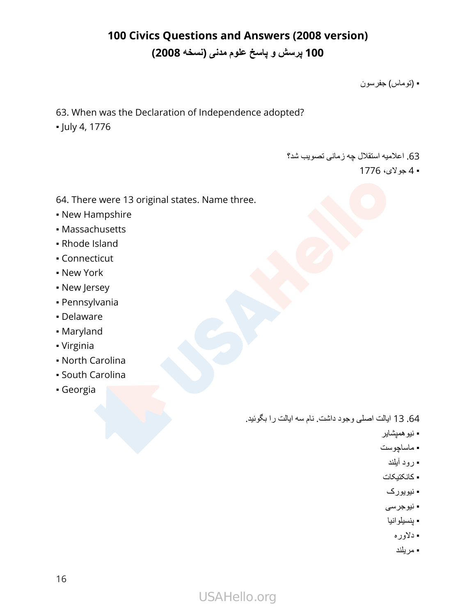▪ )توماس( جفرسون

63. When was the Declaration of Independence adopted? ▪ July 4, 1776

63. اعالمیه استقالل چه زمانی تصویب شد؟

▪ 4 جوالی، 1776

- 64. There were 13 original states. Name three.
- New Hampshire
- Massachusetts
- Rhode Island
- Connecticut
- New York
- **New Jersey**
- Pennsylvania
- Delaware
- Maryland
- Virginia
- North Carolina
- South Carolina
- Georgia

64.13 ایالت اصلی وجود داشت. نام سه ایالت را بگوئید.

- نیوهمپشایر
- ماساچوست
- رود آیلند
- کانکتیکات
- نیویورک
- نیوجرسی
- پنسیلوانیا
	- دالوره
	- مریلند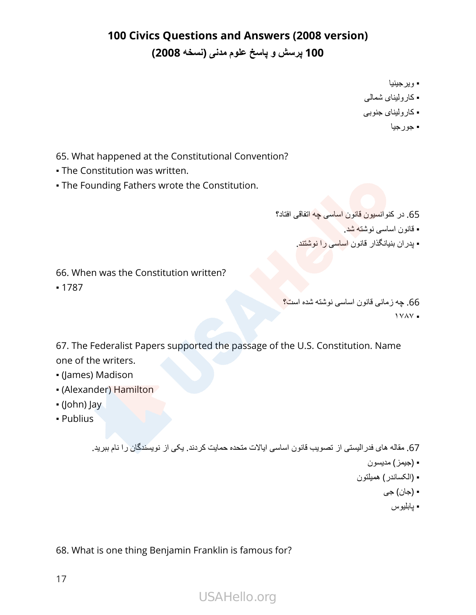- ویرجینیا
- کارولینای شمالی
- کارولینای جنوبی
	- جورجیا

- 65. What happened at the Constitutional Convention?
- **The Constitution was written.**
- **The Founding Fathers wrote the Constitution.**
- 65. در کنوانسیون قانون اساسی چه اتفاقی افتاد؟
	- قانون اساسی نوشته شد.
	- پدران بنیانگذار قانون اساسی را نوشتند.

66. When was the Constitution written?

▪ 1787

66. چه زمانی قانون اساسی نوشته شده است؟ ۱۷۸۷ ▪

67. The Federalist Papers supported the passage of the U.S. Constitution. Name one of the writers.

- (James) Madison
- (Alexander) Hamilton
- (John) Jay
- Publius

67. مقاله های فدرالیستی از تصویب قانون اساسی ایاالت متحده حمایت کردند. یکی از نویسندگان را نام ببرید.

- )جیمز( مدیسون
- )الکساندر( همیلتون
	- )جان( جی
		- پابلیوس

68. What is one thing Benjamin Franklin is famous for?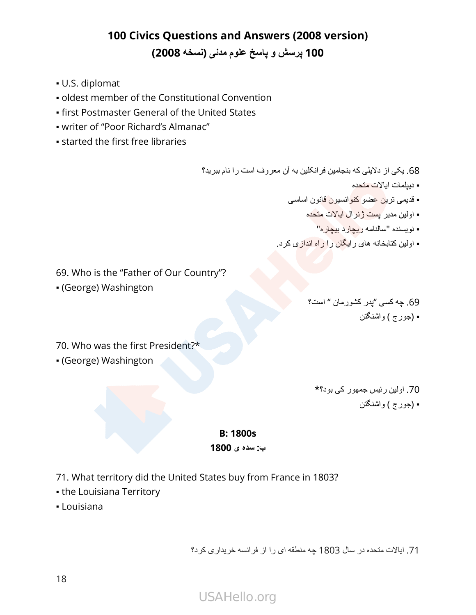- U.S. diplomat
- oldest member of the Constitutional Convention
- **.** first Postmaster General of the United States
- writer of "Poor Richard's Almanac"
- **Example 1 started the first free libraries**

68. یکی از دالیلی که بنجامین فرانکلین به آن معروف است را نام ببرید؟

- دیپلمات ایاالت متحده
- قدیمی ترین عضو کنوانسیون قانون اساسی
	- اولین مدیر پست ژنرال ایاالت متحده
		- نویسنده "سالنامه ریچارد بیچاره"
- اولین کتابخانه های رایگان را راه اندازی کرد.

69. Who is the "Father of Our Country"?

▪ (George) Washington

69. چه کسی "پدر کشورمان " است؟

▪ )جورج ( واشنگتن

70. Who was the first President?\*

▪ (George) Washington

70. اولین رئیس جمهور کی بود؟\* ▪ )جورج ( واشنگتن

#### **B: 1800s**

#### **ب: سده ی 1800**

- 71. What territory did the United States buy from France in 1803?
- **.** the Louisiana Territory
- Louisiana

71. ایاالت متحده در سال 1803 چه منطقه ای را از فرانسه خریداری کرد؟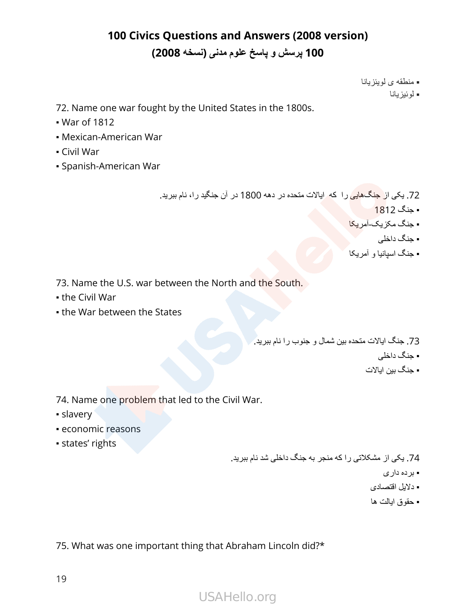▪ منطقه ی لویئزیانا

▪ لوئیزیانا

72. Name one war fought by the United States in the 1800s.

- War of 1812
- Mexican-American War
- Civil War
- Spanish-American War

72. یکی از جنگهایی را که ایاالت متحده در دهه 1800 در آن جنگید را، نام ببرید.

 $-1812$ 

▪ جنگ مکزیک-آمریکا

▪ جنگ داخلی

▪ جنگ اسپانیا و آمریکا

73. Name the U.S. war between the North and the South.

- the Civil War
- **.** the War between the States

73. جنگ ایاالت متحده بین شمال و جنوب را نام ببرید.

- جنگ داخلی
- جنگ بین ایالات

74. Name one problem that led to the Civil War.

- slavery
- economic reasons
- states' rights

74. یکی از مشکالتی را که منجر به جنگ داخلی شد نام ببرید.

- برده داری
- دالیل اقتصادی
- حقوق ایالت ها

75. What was one important thing that Abraham Lincoln did?\*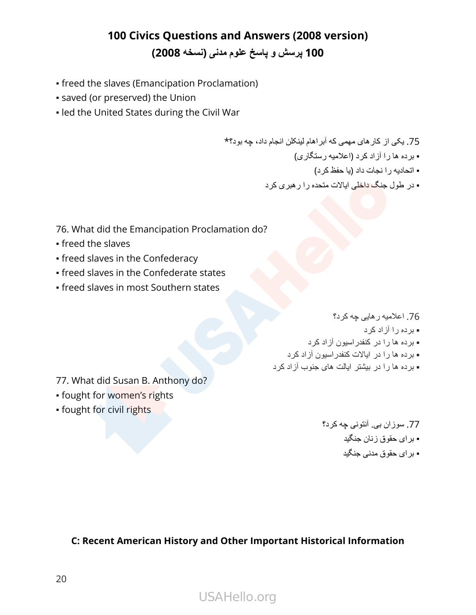- freed the slaves (Emancipation Proclamation)
- saved (or preserved) the Union
- . led the United States during the Civil War

75. یکی از کارهای مهمی که آبراهام لینکلن انجام داد، چه بود؟\* ▪ برده ها را آزاد کرد )اعالمیه رستگاری( ▪ اتحادیه را نجات داد )یا حفظ کرد(

- در طول جنگ داخلی ایاالت متحده را رهبری کرد
- 76. What did the Emancipation Proclamation do?
- freed the slaves
- **freed slaves in the Confederacy**
- **freed slaves in the Confederate states**
- **.** freed slaves in most Southern states

76. اعالمیه رهایی چه کرد؟

- برده را آزاد کرد
- برده ها را در کنفدراسیون آزاد کرد
- برده ها را در ایاالت کنفدراسیون آزاد کرد
- برده ها را در بیشتر ایالت های جنوب آزاد کرد

77. What did Susan B. Anthony do?

- **.** fought for women's rights
- **.** fought for civil rights

77. سوزان بی. آنتونی چه کرد؟ ▪ برای حقوق زنان جنگید ▪ برای حقوق مدنی جنگید

**C: Recent American History and Other Important Historical Information**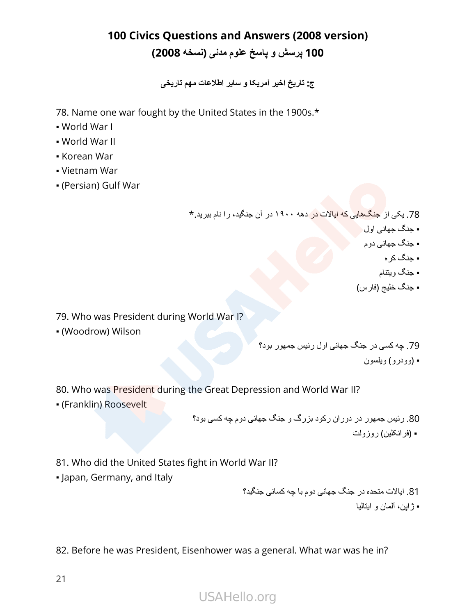**ج: تاریخ اخیر آمریکا و سایر اطالعات مهم تاریخی**

78. Name one war fought by the United States in the 1900s.\*

- World War I
- World War II
- Korean War
- Vietnam War
- (Persian) Gulf War

78. یکی از جنگهایی که ایاالت در دهه ۱۹۰۰ در آن جنگید، را نام ببرید.\*

- جنگ جهانی اول
- جنگ جهانی دوم
	- جنگ کره
	- جنگ ویتنام
- جنگ خلیج )فارس(

79. Who was President during World War I?

▪ (Woodrow) Wilson

79. چه کسی در جنگ جهانی اول رئیس جمهور بود؟ ▪ )وودرو( ویلسون

80. Who was President during the Great Depression and World War II?

▪ (Franklin) Roosevelt

80. رئیس جمهور در دوران رکود بزرگ و جنگ جهانی دوم چه کسی بود؟ ▪ )فرانکلين( روزولت

81. Who did the United States fight in World War II?

▪ Japan, Germany, and Italy

81. ایاالت متحده در جنگ جهانی دوم با چه کسانی جنگید؟ ▪ ژاپن، آلمان و ایتالیا

82. Before he was President, Eisenhower was a general. What war was he in?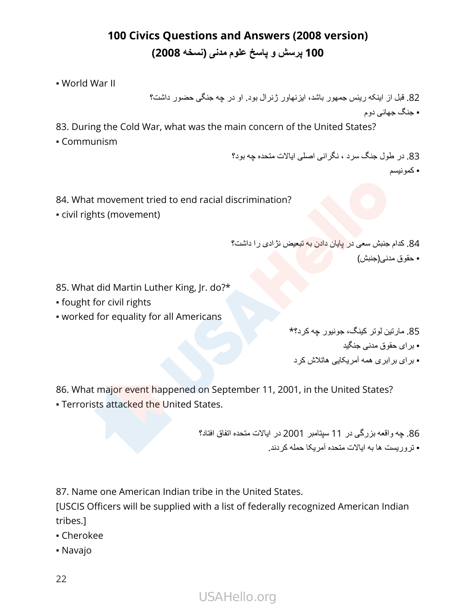▪ World War II

82. قبل از اینکه ریئس جمهور باشد، ایزنهاور ژنرال بود. او در چه جنگی حضور داشت؟ ▪ جنگ جهانی دوم

- 83. During the Cold War, what was the main concern of the United States?
- Communism

83. در طول جنگ سرد ، نگرانی اصلی ایاالت متحده چه بود؟ ▪ کمونیسم

- 84. What movement tried to end racial discrimination?
- civil rights (movement)

84. کدام جنبش سعی در پایان دادن به تبعیض نژادی را داشت؟

▪ حقوق مدنی)جنبش(

- 85. What did Martin Luther King, Jr. do?\*
- fought for civil rights
- worked for equality for all Americans

85. مارتین لوتر کینگ، جونیور چه کرد؟\* ▪ برای حقوق مدنی جنگید ▪ برای برابری همه آمریکایی هاتالش کرد

86. What major event happened on September 11, 2001, in the United States?

**Exercists attacked the United States.** 

86. چه واقعه بزرگی در 11 سپتامبر 2001 در ایاالت متحده اتفاق افتاد؟ ▪ تروریست ها به ایاالت متحده آمریکا حمله کردند.

87. Name one American Indian tribe in the United States.

[USCIS Officers will be supplied with a list of federally recognized American Indian tribes.]

- Cherokee
- Navajo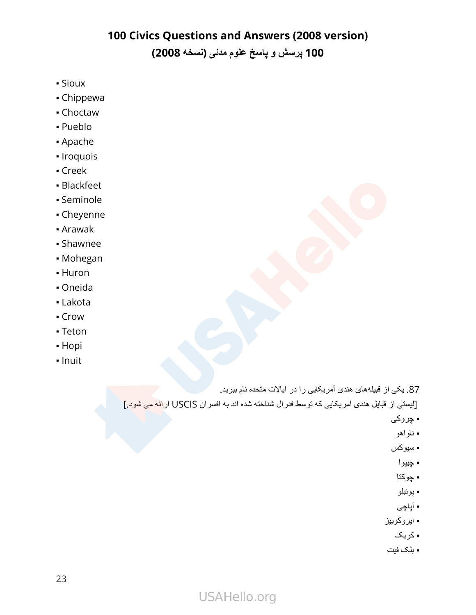- Sioux
- Chippewa
- Choctaw
- Pueblo
- Apache
- Iroquois
- Creek
- Blackfeet
- Seminole
- Cheyenne
- Arawak
- Shawnee
- Mohegan
- Huron
- Oneida
- Lakota
- Crow
- Teton
- Hopi
- Inuit

87. یکی از قبیلههای هندی آمریکایی را در ایاالت متحده نام ببرید. ]لیستی از قبایل هندی آمریکایی که توسط فدرال شناخته شده اند به افسران USCIS ارائه می شود.[

- چروکی
- ناواهو
- سیوکس
	- چيپوا
- چوکتا
- پوئبلو
- آپاچی
- ایروکوییز
	- کریک
- بلک فیت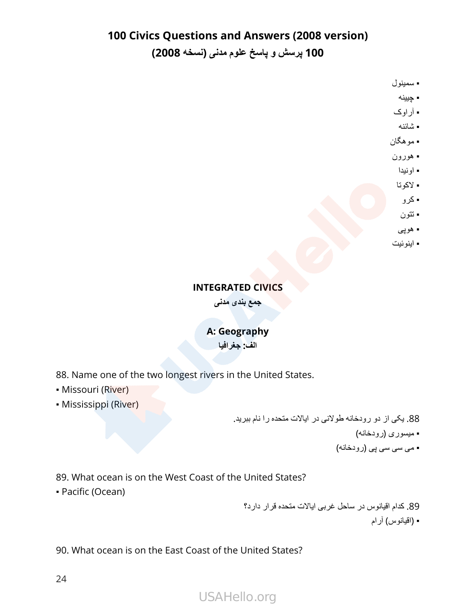# **100 Civics Questions and Answers (2008 version)**

**100 پرسش و پاسخ علوم مدنی )نسخه 2008(**

▪ سمینول

- چیینه
- آراوک
- شائنه
- موهگان
	- هورون
	- اونیدا
	- الکوتا
	- کرو
	- تتون
	- هوپی
- اینوئیت

#### **INTEGRATED CIVICS**

**جمع بندی مدنی**

# **A: Geography**

**الف: جغرافیا**

88. Name one of the two longest rivers in the United States.

- Missouri (River)
- Mississippi (River)

88. یکی از دو رودخانه طوالنی در ایاالت متحده را نام ببرید. ▪ میسوری )رودخانه( ▪ می سی سی پی )رودخانه(

89. What ocean is on the West Coast of the United States?

▪ Pacific (Ocean)

89. کدام اقیانوس در ساحل غربی ایاالت متحده قرار دارد؟

▪ )اقیانوس( آرام

90. What ocean is on the East Coast of the United States?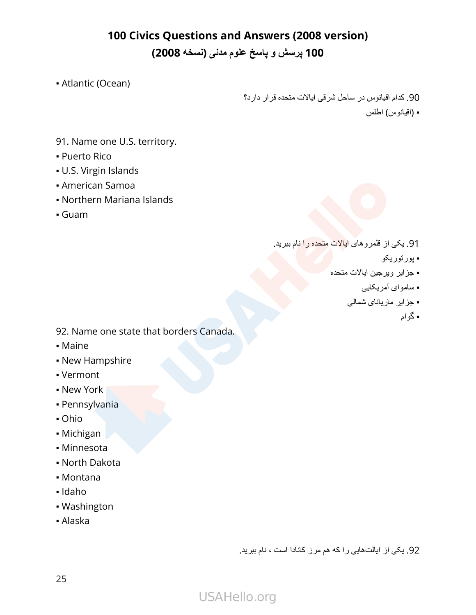▪ Atlantic (Ocean)

90. کدام اقیانوس در ساحل شرقی ایاالت متحده قرار دارد؟

▪ )اقیانوس( اطلس

- 91. Name one U.S. territory.
- **Puerto Rico**
- U.S. Virgin Islands
- American Samoa
- Northern Mariana Islands
- Guam

- 91. یکی از قلمروهای ایاالت متحده را نام ببرید.
	- پورتوریکو
	- جزایر ویرجین ایاالت متحده
		- ساموای آمریکایی
		- جزایر ماریانای شمالی
			- گوام

- 92. Name one state that borders Canada.
- Maine
- **New Hampshire**
- Vermont
- New York
- Pennsylvania
- Ohio
- Michigan
- Minnesota
- North Dakota
- Montana
- Idaho
- Washington
- Alaska

92. یکی از ایالتهایی را که هم مرز کانادا است ، نام ببرید.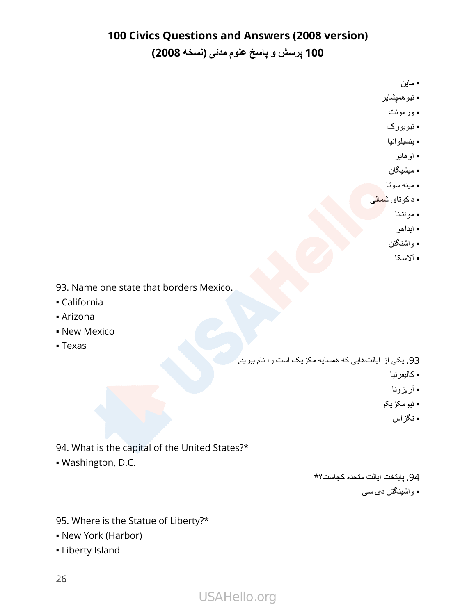## **100 Civics Questions and Answers (2008 version)**

**100 پرسش و پاسخ علوم مدنی )نسخه 2008(**

▪ ماین

- نیوهمپشایر
- ورمونت
- نیویورک
- پنسیلوانیا
	- اوهایو
- میشیگان
- مینه سوتا
- داکوتای ش<mark>مالی</mark>
	- مونتانا
	- آیداهو
	- واشنگتن
	- آالسکا

93. Name one state that borders Mexico.

- California
- Arizona
- **New Mexico**
- Texas

93. یکی از ایالتهایی که همسایه مکزیک است را نام ببرید.

- کالیفرنیا
- آریزونا
- نیومکزیکو
	- تگزاس

- 94. What is the capital of the United States?\*
- Washington, D.C.

94. پایتخت ایالت متحده کجاست؟\*

▪ واشینگتن دی سی

95. Where is the Statue of Liberty?\*

- New York (Harbor)
- **Liberty Island**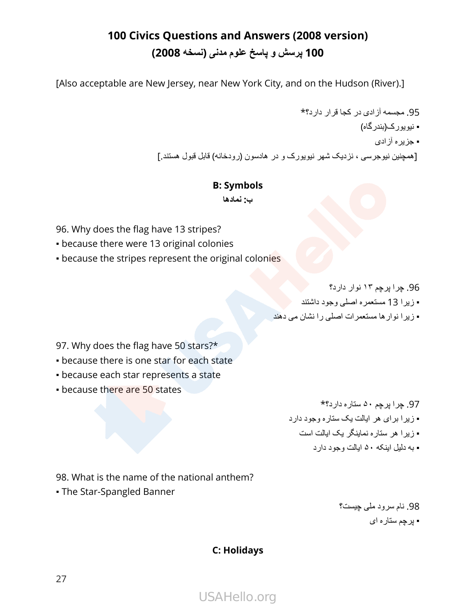[Also acceptable are New Jersey, near New York City, and on the Hudson (River).]

95. مجسمه آزادی در کجا قرار دارد؟\* ▪ نیویورک)بندرگاه( ▪ جزیره آزادی ]همچنین نیوجرسی ، نزدیک شهر نیویورک و در هادسون )رودخانه( قابل قبول هستند.[

#### **B: Symbols**

**ب: نمادها**

96. Why does the flag have 13 stripes?

- **because there were 13 original colonies**
- because the stripes represent the original colonies

96. چرا پرچم ۱۳ نوار دارد؟

- زیرا 13 مستعمره اصلی وجود داشتند
- زیرا نوارها مستعمرات اصلی را نشان می دهند

97. Why does the flag have 50 stars?\*

- **because there is one star for each state**
- because each star represents a state
- **because there are 50 states**

97. چرا پرچم ۵۰ ستاره دارد؟\* ▪ زیرا برای هر ایالت یک ستاره وجود دارد ▪ زیرا هر ستاره نماینگر یک ایالت است ▪ به دلیل اینکه ۵۰ ایالت وجود دارد

98. What is the name of the national anthem?

▪ The Star-Spangled Banner

98. نام سرود ملی چیست؟ ▪ پرچم ستاره ای

#### **C: Holidays**

USAHello.org